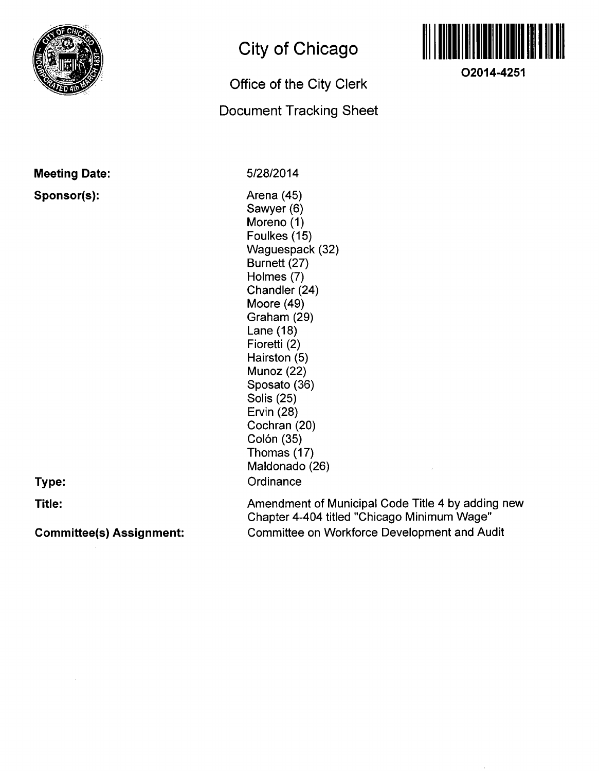

### **Meeting Date: Sponsor(s):**

# **City of Chicago**

# **Office of the City Clerk**

## **Document Tracking Sheet**



**O2014-4251** 

5/28/2014

Arena (45) Sawyer (6) Moreno (1) Foulkes (15) Waguespack (32) Burnett (27) Holmes (7) Chandler (24) Moore (49) Graham (29) Lane (18) Fioretti (2) Hairston (5) Munoz (22) Sposato (36) Solis (25) Ervin (28) Cochran (20) Colón (35) Thomas (17) Maldonado (26) **Ordinance** 

**Type:** 

**Title:** 

**Committee(s) Assignment:** 

Amendment of Municipal Code Title 4 by adding new Chapter 4-404 titled "Chicago Minimum Wage" Committee on Workforce Development and Audit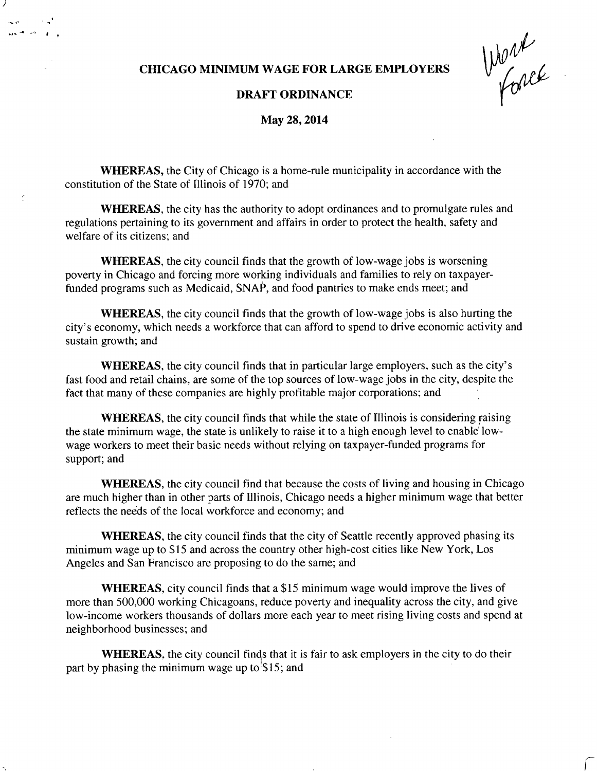#### **CHICAGO MINIMUM WAGE FOR LARGE EMPLOYERS**

Work

#### **DRAFT ORDINANCE**

**May 28,2014** 

WHEREAS, the City of Chicago is a home-rule municipality in accordance with the constitution of the State of Illinois of 1970; and

f

WHEREAS, the city has the authority to adopt ordinances and to promulgate rules and regulations pertaining to its government and affairs in order to protect the health, safety and welfare of its citizens; and

WHEREAS, the city council finds that the growth of low-wage jobs is worsening poverty in Chicago and forcing more working individuals and families to rely on taxpayerfunded programs such as Medicaid, SNAP, and food pantries to make ends meet; and

WHEREAS, the city council finds that the growth of low-wage jobs is also hurting the city's economy, which needs a workforce that can afford to spend to drive economic activity and sustain growth; and

WHEREAS, the city council finds that in particular large employers, such as the city's fast food and retail chains, are some of the top sources of low-wage jobs in the city, despite the fact that many of these companies are highly profitable major corporations; and

WHEREAS, the city council finds that while the state of Illinois is considering raising the state minimum wage, the state is unlikely to raise it to a high enough level to enable lowwage workers to meet their basic needs without relying on taxpayer-funded programs for support; and

WHEREAS, the city council find that because the costs of living and housing in Chicago are much higher than in other parts of Illinois, Chicago needs a higher minimum wage that better reflects the needs of the local workforce and economy; and

WHEREAS, the city council finds that the city of Seattle recently approved phasing its minimum wage up to \$15 and across the country other high-cost cities like New York, Los Angeles and San Francisco are proposing to do the same; and

**WHEREAS,** city council finds that a \$15 minimum wage would improve the lives of more than 500,000 working Chicagoans, reduce poverty and inequality across the city, and give low-income workers thousands of dollars more each year to meet rising living costs and spend at neighborhood businesses; and

WHEREAS, the city council finds that it is fair to ask employers in the city to do their part by phasing the minimum wage up to  $\$15$ ; and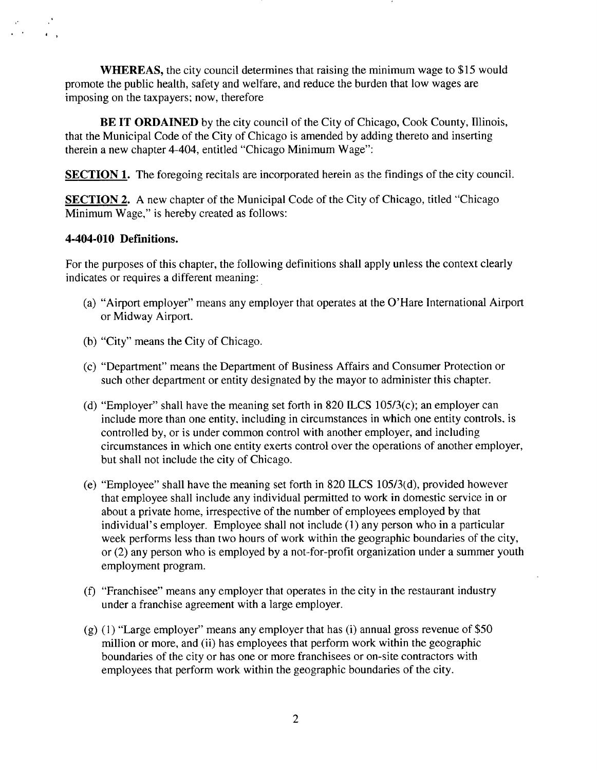WHEREAS, the city council determines that raising the minimum wage to \$15 would promote the public health, safety and welfare, and reduce the burden that low wages are imposing on the taxpayers; now, therefore

BE IT ORDAINED by the city council of the City of Chicago, Cook County, Illinois, that the Municipal Code of the City of Chicago is amended by adding thereto and inserting therein a new chapter 4-404, entitled "Chicago Minimum Wage":

SECTION 1. The foregoing recitals are incorporated herein as the findings of the city council.

SECTION 2. A new chapter of the Municipal Code of the City of Chicago, titled "Chicago Minimum Wage," is hereby created as follows:

#### **4-404-010 Defmitions.**

For the purposes of this chapter, the following definitions shall apply unless the context clearly indicates or requires a different meaning:

- (a) "Airport employer" means any employer that operates at the O'Hare International Airport or Midway Airport.
- (b) "City" means the City of Chicago.
- (c) "Department" means the Department of Business Affairs and Consumer Protection or such other department or entity designated by the mayor to administer this chapter.
- (d) "Employer" shall have the meaning set forth in 820 ILCS  $105/3(c)$ ; an employer can include more than one entity, including in circumstances in which one entity controls, is controlled by, or is under common control with another employer, and including circumstances in which one entity exerts control over the operations of another employer, but shall not include the city of Chicago.
- (e) "Employee" shall have the meaning set forth in 820 ILCS 105/3(d), provided however that employee shall include any individual permitted to work in domestic service in or about a private home, irrespective of the number of employees employed by that individual's employer. Employee shall not include (1) any person who in a particular week performs less than two hours of work within the geographic boundaries of the city, or (2) any person who is employed by a not-for-profit organization under a summer youth employment program.
- (f) "Franchisee" means any employer that operates in the city in the restaurant industry under a franchise agreement with a large employer.
- (g) (1) "Large employer" means any employer that has (i) annual gross revenue of \$50 million or more, and (ii) has employees that perform work within the geographic boundaries of the city or has one or more franchisees or on-site contractors with employees that perform work within the geographic boundaries of the city.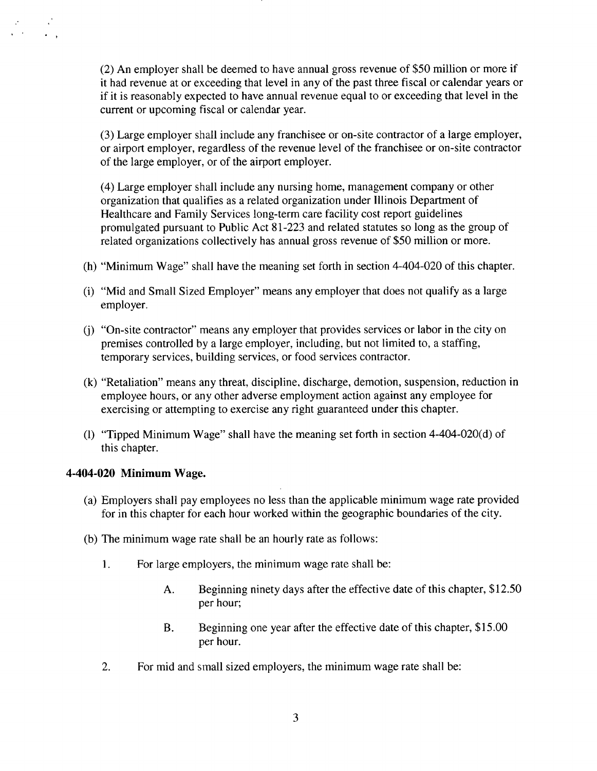(2) An employer shall be deemed to have annual gross revenue of \$50 million or more if it had revenue at or exceeding that level in any of the past three fiscal or calendar years or if it is reasonably expected to have annual revenue equal to or exceeding that level in the current or upcoming fiscal or calendar year.

(3) Large employer shall include any franchisee or on-site contractor of a large employer, or airport employer, regardless of the revenue level of the franchisee or on-site contractor of the large employer, or of the airport employer.

(4) Large employer shall include any nursing home, management company or other organization that qualifies as a related organization under Illinois Department of Healthcare and Family Services long-term care facility cost report guidelines promulgated pursuant to Public Act 81-223 and related statutes so long as the group of related organizations collectively has annual gross revenue of \$50 million or more.

- (h) "Minimum Wage" shall have the meaning set forth in section 4-404-020 of this chapter.
- (i) "Mid and Small Sized Employer" means any employer that does not qualify as a large employer.
- (j) "On-site contractor" means any employer that provides services or labor in the city on premises controlled by a large employer, including, but not limited to, a staffing, temporary services, building services, or food services contractor.
- (k) "Retaliafion" means any threat, discipline, discharge, demotion, suspension, reduction in employee hours, or any other adverse employment action against any employee for exercising or attempting to exercise any right guaranteed under this chapter.
- (1) "Tipped Minimum Wage" shall have the meaning set forth in section 4-404-020(d) of this chapter.

#### 4-404-020 Minimum Wage.

 $\frac{1}{2}$ 

- (a) Employers shall pay employees no less than the applicable minimum wage rate provided for in this chapter for each hour worked within the geographic boundaries of the city.
- (b) The minimum wage rate shall be an hourly rate as follows:
	- 1. For large employers, the minimum wage rate shall be:
		- A. Beginning ninety days after the effective date of this chapter, \$12.50 per hour;
		- B. Beginning one year after the effective date of this chapter, \$15.00 per hour.
	- 2. For mid and small sized employers, the minimum wage rate shall be: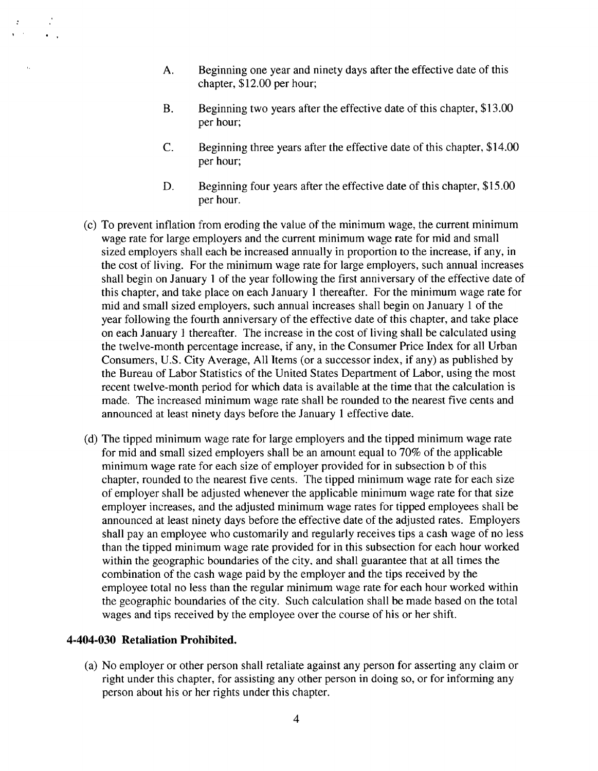- A. Beginning one year and ninety days after the effective date of this chapter, \$12.00 per hour;
- B. Beginning two years after the effective date of this chapter, \$13.00 per hour;
- C. Beginning three years after the effective date of this chapter, \$14.00 per hour;
- D. Beginning four years after the effective date of this chapter, \$15.00 per hour.
- (c) To prevent inflation from eroding the value of the minimum wage, the current minimum wage rate for large employers and the current minimum wage rate for mid and small sized employers shall each be increased annually in proportion to the increase, if any, in the cost of living. For the minimum wage rate for large employers, such annual increases shall begin on January 1 of the year following the first anniversary of the effective date of this chapter, and take place on each January 1 thereafter. For the minimum wage rate for mid and small sized employers, such annual increases shall begin on January 1 of the year following the fourth anniversary of the effective date of this chapter, and take place on each January 1 thereafter. The increase in the cost of living shall be calculated using the twelve-month percentage increase, if any, in the Consumer Price Index for all Urban Consumers, U.S. City Average, All Items (or a successor index, if any) as published by the Bureau of Labor Statistics of the United States Department of Labor, using the most recent twelve-month period for which data is available at the time that the calculation is made. The increased minimum wage rate shall be rounded to the nearest five cents and announced at least ninety days before the January 1 effective date.
- (d) The tipped minimum wage rate for large employers and the tipped minimum wage rate for mid and small sized employers shall be an amount equal to 70% of the applicable minimum wage rate for each size of employer provided for in subsection b of this chapter, rounded to the nearest five cents. The tipped minimum wage rate for each size of employer shall be adjusted whenever the applicable minimum wage rate for that size employer increases, and the adjusted minimum wage rates for tipped employees shall be announced at least ninety days before the effective date of the adjusted rates. Employers shall pay an employee who customarily and regularly receives tips a cash wage of no less than the tipped minimum wage rate provided for in this subsection for each hour worked within the geographic boundaries of the city, and shall guarantee that at all times the combination of the cash wage paid by the employer and the tips received by the employee total no less than the regular minimum wage rate for each hour worked within the geographic boundaries of the city. Such calculation shall be made based on the total wages and tips received by the employee over the course of his or her shift.

#### **4-404-030 Retaliation Prohibited.**

 $\mathbf{v}$ 

(a) No employer or other person shall retaliate against any person for asserting any claim or right under this chapter, for assisting any other person in doing so, or for informing any person about his or her rights under this chapter.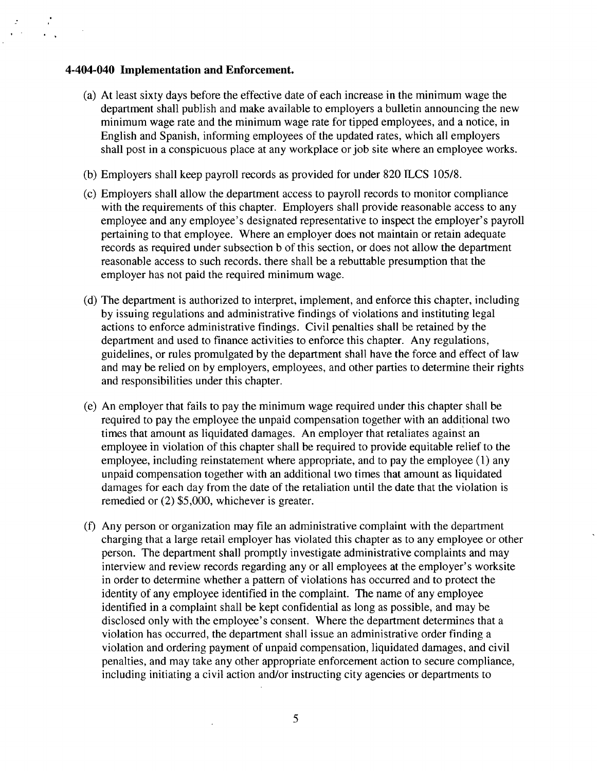#### **4-404-040 Implementation and Enforcement.**

 $\sqrt{2}$ 

- (a) At least sixty days before the effective date of each increase in the minimum wage the department shall publish and make available to employers a bulletin announcing the new minimum wage rate and the minimum wage rate for tipped employees, and a notice, in English and Spanish, informing employees of the updated rates, which all employers shall post in a conspicuous place at any workplace or job site where an employee works.
- (b) Employers shall keep payroll records as provided for under 820 ILCS 105/8.
- (c) Employers shall allow the department access to payroll records to monitor compliance with the requirements of this chapter. Employers shall provide reasonable access to any employee and any employee's designated representative to inspect the employer's payroll pertaining to that employee. Where an employer does not maintain or retain adequate records as required under subsection b of this section, or does not allow the department reasonable access to such records, there shall be a rebuttable presumption that the employer has not paid the required minimum wage.
- (d) The department is authorized to interpret, implement, and enforce this chapter, including by issuing regulations and administrative findings of violations and instituting legal actions to enforce administrative findings. Civil penalties shall be retained by the department and used to finance activities to enforce this chapter. Any regulations, guidelines, or rules promulgated by the department shall have the force and effect of law and may be relied on by employers, employees, and other parties to determine their rights and responsibilities under this chapter.
- (e) An employer that fails to pay the minimum wage required under this chapter shall be required to pay the employee the unpaid compensation together with an additional two times that amount as liquidated damages. An employer that retaliates against an employee in violation of this chapter shall be required to provide equitable relief to the employee, including reinstatement where appropriate, and to pay the employee (1) any unpaid compensation together with an additional two times that amount as liquidated damages for each day from the date of the retaliation until the date that the violation is remedied or (2) \$5,000, whichever is greater.
- (f) Any person or organization may file an administrative complaint with the department charging that a large retail employer has violated this chapter as to any employee or other person. The department shall promptly investigate administrative complaints and may interview and review records regarding any or all employees at the employer's worksite in order to determine whether a pattern of violations has occurred and to protect the identity of any employee identified in the complaint. The name of any employee identified in a complaint shall be kept confidential as long as possible, and may be disclosed only with the employee's consent. Where the department determines that a violation has occurred, the department shall issue an administrative order finding a violation and ordering payment of unpaid compensation, liquidated damages, and civil penalties, and may take any other appropriate enforcement action to secure compliance, including initiating a civil action and/or instructing city agencies or departments to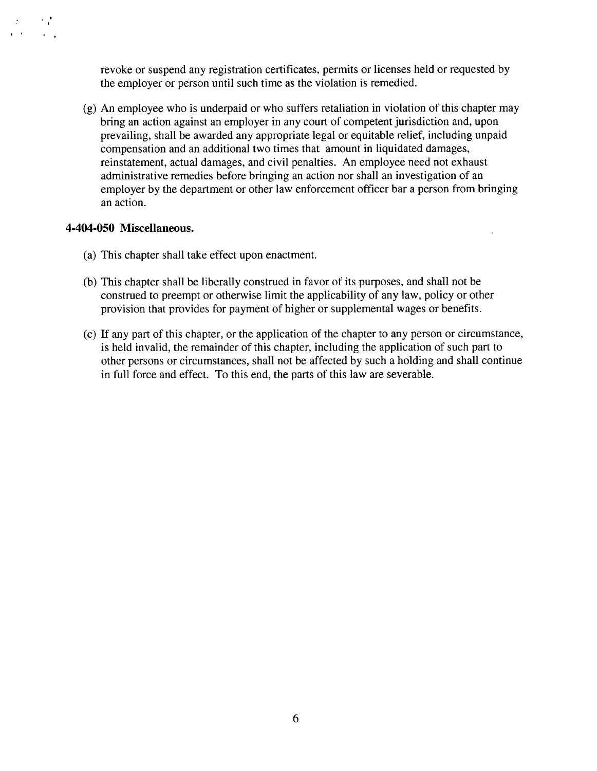revoke or suspend any registration certificates, permits or licenses held or requested by the employer or person until such time as the violation is remedied.

(g) An employee who is underpaid or who suffers retaliation in violation of this chapter may bring an action against an employer in any court of competent jurisdiction and, upon prevailing, shall be awarded any appropriate legal or equitable relief, including unpaid compensation and an additional two times that amount in liquidated damages, reinstatement, actual damages, and civil penalties. An employee need not exhaust administrative remedies before bringing an action nor shall an investigation of an employer by the department or other law enforcement officer bar a person from bringing an action.

#### **4-404-050 Miscellaneous.**

 $\mathbf{q} = \mathbf{q} \times \mathbf{q}$  .

 $\mathcal{A}=\mathcal{A}$ 

- (a) This chapter shall take effect upon enactment.
- (b) This chapter shall be liberally construed in favor of its purposes, and shall not be construed to preempt or otherwise limit the applicability of any law, policy or other provision that provides for payment of higher or supplemental wages or benefits.
- (c) If any part of this chapter, or the application of the chapter to any person or circumstance, is held invalid, the remainder of this chapter, including the application of such part to other persons or circumstances, shall not be affected by such a holding and shall continue in full force and effect. To this end, the parts of this law are severable.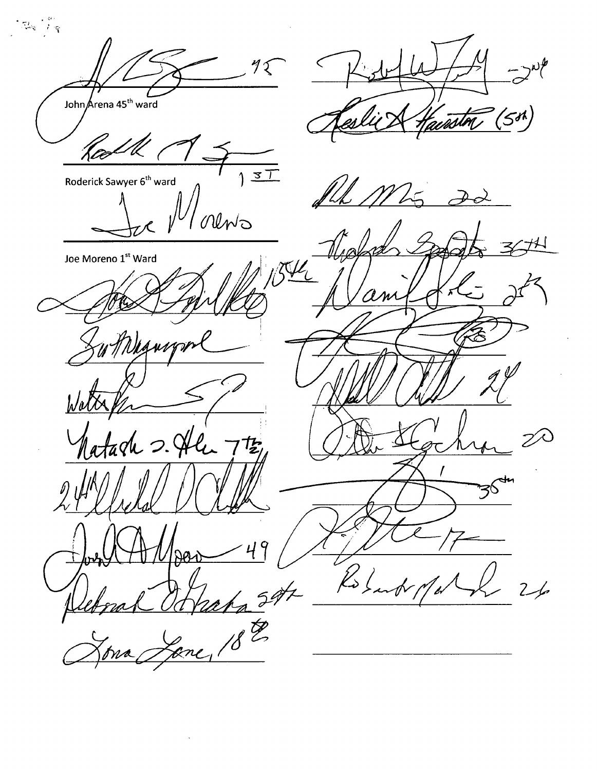$72$ John Arena 45<sup>th</sup> ward '5M) mint  $\frac{1}{3}$ Roderick Sawyer 6<sup>th</sup> ward UNO Joe Moreno 1st Ward  $\pi\prime$ 尨 'a?  $\mathsf{q}$  $\frac{1}{\sqrt{2\pi}}$  $\cancel{\mathcal{L}}$  $2/$